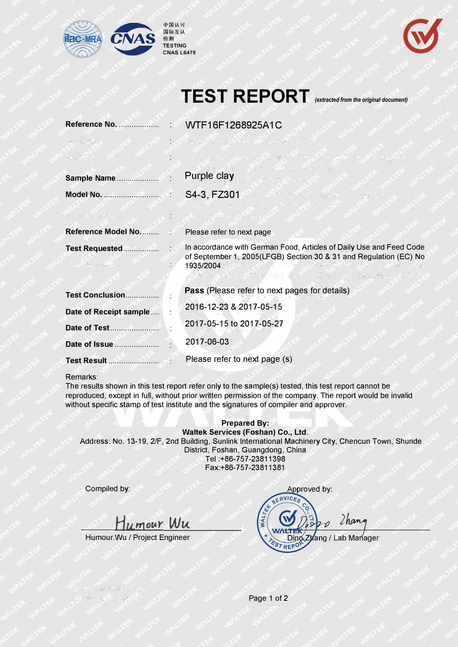

**中国认可** 国际互认 **检测 TESTING CNAS L6478** 



|                        | <b>TEST REPORT</b> (extracted from the original document)                                                                                             |  |  |  |
|------------------------|-------------------------------------------------------------------------------------------------------------------------------------------------------|--|--|--|
| Reference No.          | WTF16F1268925A1C                                                                                                                                      |  |  |  |
|                        |                                                                                                                                                       |  |  |  |
|                        |                                                                                                                                                       |  |  |  |
| Sample Name            | Purple clay                                                                                                                                           |  |  |  |
|                        | S4-3, FZ301                                                                                                                                           |  |  |  |
|                        |                                                                                                                                                       |  |  |  |
|                        | Please refer to next page                                                                                                                             |  |  |  |
|                        | In accordance with German Food, Articles of Daily Use and Feed Code<br>of September 1, 2005(LFGB) Section 30 & 31 and Regulation (EC) No<br>1935/2004 |  |  |  |
| Test Conclusion        | <b>Pass (Please refer to next pages for details)</b>                                                                                                  |  |  |  |
| Date of Receipt sample | 2016-12-23 & 2017-05-15                                                                                                                               |  |  |  |
|                        | 2017-05-15 to 2017-05-27                                                                                                                              |  |  |  |
| Date of Issue          | 2017-06-03                                                                                                                                            |  |  |  |
| <b>Test Result </b>    | Please refer to next page (s)                                                                                                                         |  |  |  |

Remarks:

The results shown in this test report refer only to the sample(s) tested, this test report cannot be reproduced, except in full, without prior written permission of the company. The report would be invalid without specific stamp of test institute and the signatures of compiler and approver.

**Prepared By: Waltek Services (Foshan) Co., Ltd.**  Address: No. 13-19, 2/F, 2nd Building, Sunlink lnternational Machinery City, Chencun Town, Shunde District, Foshan, Guangdong, China Tel :+86-757-23811398 Fax:+86-757-23811381

Compiled by:

Humour Wu

Humour.Wu / Project Engineer

Approved by:

GERVICES WA. Lhang Ding Zuang / Lab Manager ESTREPO